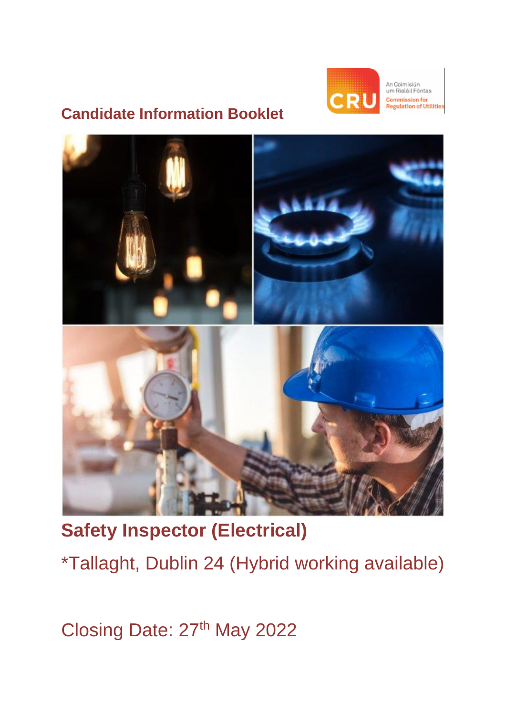

An Coimisiún um Rialáil Fóntas mmission for<br>gulation of Utilities

# **Candidate Information Booklet**



**Safety Inspector (Electrical)** 

\*Tallaght, Dublin 24 (Hybrid working available)

Closing Date: 27th May 2022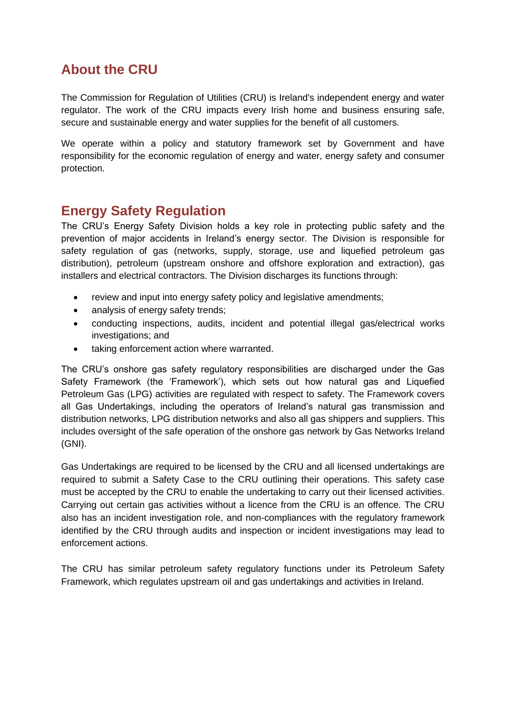### **About the CRU**

The Commission for Regulation of Utilities (CRU) is Ireland's independent energy and water regulator. The work of the CRU impacts every Irish home and business ensuring safe, secure and sustainable energy and water supplies for the benefit of all customers.

We operate within a policy and statutory framework set by Government and have responsibility for the economic regulation of energy and water, energy safety and consumer protection.

### **Energy Safety Regulation**

The CRU's Energy Safety Division holds a key role in protecting public safety and the prevention of major accidents in Ireland's energy sector. The Division is responsible for safety regulation of gas (networks, supply, storage, use and liquefied petroleum gas distribution), petroleum (upstream onshore and offshore exploration and extraction), gas installers and electrical contractors. The Division discharges its functions through:

- review and input into energy safety policy and legislative amendments;
- analysis of energy safety trends;
- conducting inspections, audits, incident and potential illegal gas/electrical works investigations; and
- taking enforcement action where warranted.

The CRU's onshore gas safety regulatory responsibilities are discharged under the Gas Safety Framework (the 'Framework'), which sets out how natural gas and Liquefied Petroleum Gas (LPG) activities are regulated with respect to safety. The Framework covers all Gas Undertakings, including the operators of Ireland's natural gas transmission and distribution networks, LPG distribution networks and also all gas shippers and suppliers. This includes oversight of the safe operation of the onshore gas network by Gas Networks Ireland (GNI).

Gas Undertakings are required to be licensed by the CRU and all licensed undertakings are required to submit a Safety Case to the CRU outlining their operations. This safety case must be accepted by the CRU to enable the undertaking to carry out their licensed activities. Carrying out certain gas activities without a licence from the CRU is an offence. The CRU also has an incident investigation role, and non-compliances with the regulatory framework identified by the CRU through audits and inspection or incident investigations may lead to enforcement actions.

The CRU has similar petroleum safety regulatory functions under its Petroleum Safety Framework, which regulates upstream oil and gas undertakings and activities in Ireland.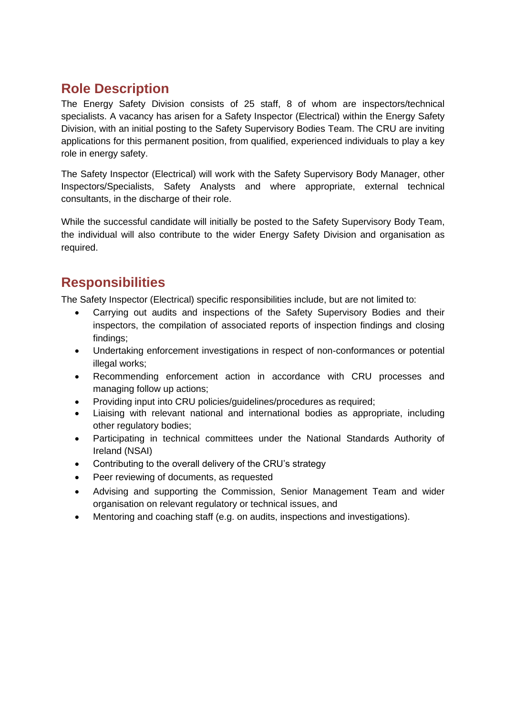# **Role Description**

The Energy Safety Division consists of 25 staff, 8 of whom are inspectors/technical specialists. A vacancy has arisen for a Safety Inspector (Electrical) within the Energy Safety Division, with an initial posting to the Safety Supervisory Bodies Team. The CRU are inviting applications for this permanent position, from qualified, experienced individuals to play a key role in energy safety.

The Safety Inspector (Electrical) will work with the Safety Supervisory Body Manager, other Inspectors/Specialists, Safety Analysts and where appropriate, external technical consultants, in the discharge of their role.

While the successful candidate will initially be posted to the Safety Supervisory Body Team, the individual will also contribute to the wider Energy Safety Division and organisation as required.

## **Responsibilities**

The Safety Inspector (Electrical) specific responsibilities include, but are not limited to:

- Carrying out audits and inspections of the Safety Supervisory Bodies and their inspectors, the compilation of associated reports of inspection findings and closing findings;
- Undertaking enforcement investigations in respect of non-conformances or potential illegal works;
- Recommending enforcement action in accordance with CRU processes and managing follow up actions;
- Providing input into CRU policies/guidelines/procedures as required;
- Liaising with relevant national and international bodies as appropriate, including other regulatory bodies;
- Participating in technical committees under the National Standards Authority of Ireland (NSAI)
- Contributing to the overall delivery of the CRU's strategy
- Peer reviewing of documents, as requested
- Advising and supporting the Commission, Senior Management Team and wider organisation on relevant regulatory or technical issues, and
- Mentoring and coaching staff (e.g. on audits, inspections and investigations).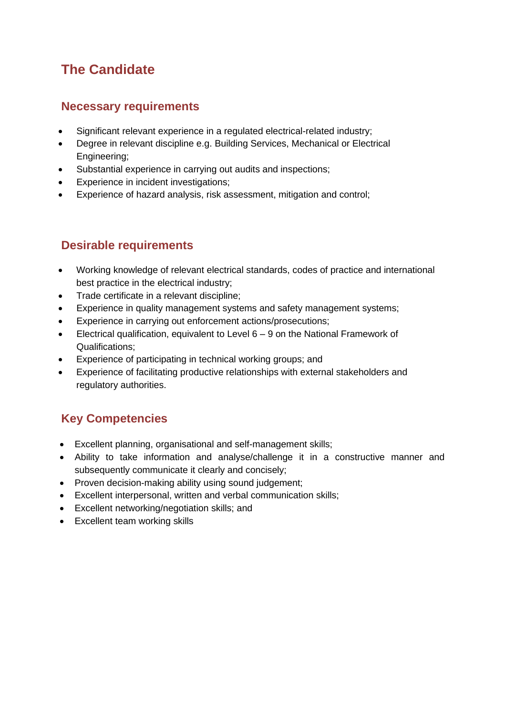### **The Candidate**

#### **Necessary requirements**

- Significant relevant experience in a regulated electrical-related industry;
- Degree in relevant discipline e.g. Building Services, Mechanical or Electrical Engineering;
- Substantial experience in carrying out audits and inspections;
- Experience in incident investigations;
- Experience of hazard analysis, risk assessment, mitigation and control;

#### **Desirable requirements**

- Working knowledge of relevant electrical standards, codes of practice and international best practice in the electrical industry;
- Trade certificate in a relevant discipline;
- Experience in quality management systems and safety management systems;
- Experience in carrying out enforcement actions/prosecutions;
- Electrical qualification, equivalent to Level  $6 9$  on the National Framework of Qualifications;
- Experience of participating in technical working groups; and
- Experience of facilitating productive relationships with external stakeholders and regulatory authorities.

#### **Key Competencies**

- Excellent planning, organisational and self-management skills;
- Ability to take information and analyse/challenge it in a constructive manner and subsequently communicate it clearly and concisely;
- Proven decision-making ability using sound judgement;
- Excellent interpersonal, written and verbal communication skills;
- Excellent networking/negotiation skills; and
- Excellent team working skills